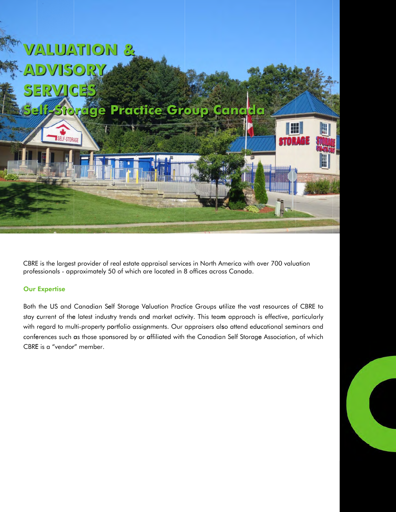

CBRE is the largest provider of real estate appraisal services in North America with over 700 valuation professionals - approximately 50 of which are located in 8 offices across Canada.

## **Our Expertise**

Both the US and Canadian Self Storage Valuation Practice Groups utilize the vast resources of CBRE to stay current of the latest industry trends and market activity. This team approach is effective, particularly with regard to multi-property portfolio assignments. Our appraisers also attend educational seminars and conferences such as those sponsored by or affiliated with the Canadian Self Storage Association, of which CBRE is a "vendor" member.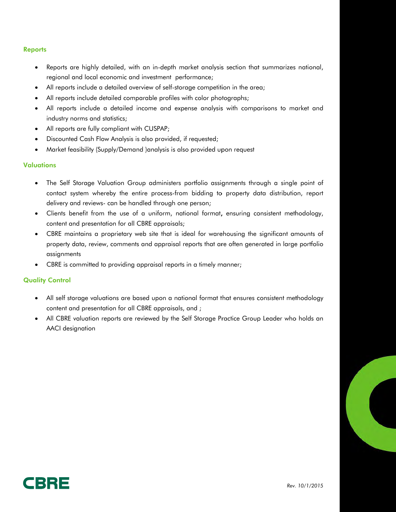### Reports

- $\bullet$ • Reports are highly detailed, with an in-depth market analysis section that summarizes national, regional and local economic and investment performance;
- $\bullet$ • All reports include a detailed overview of self-storage competition in the area;
- $\bullet$ • All reports include detailed comparable profiles with color photographs;
- $\bullet$ • All reports include a detailed income and expense analysis with comparisons to market and industry norms and statistics;
- $\bullet$ • All reports are fully compliant with CUSPAP;
- $\bullet$ Discounte d Cash Flow Analysis is als so provided, i f requested;
- $\bullet$ • Market feasibility (Supply/Demand )analysis is also provided upon request

### Valu uations

- $\bullet$ • The Self Storage Valuation Group administers portfolio assignments through a single point of contact system whereby the entire process-from bidding to property data distribution, report delivery a nd reviews- ca an be handle d through on e person;
- $\bullet$ • Clients benefit from the use of a uniform, national format, ensuring consistent methodology, content and presentation for all CBRE appraisals;
- $\bullet$ • CBRE maintains a proprietary web site that is ideal for warehousing the significant amounts of property data, review, comments and appraisal reports that are often generated in large portfolio assignments
- $\bullet$ • CBRE is committed to providing appraisal reports in a timely manner;

### Qua lity Control

- All self storage valuations are based upon a national format that ensures consistent methodology content and presentation for all CBRE appraisals, and ;
- $\bullet$ • All CBRE valuation reports are reviewed by the Self Storage Practice Group Leader who holds an AACI desi gnation